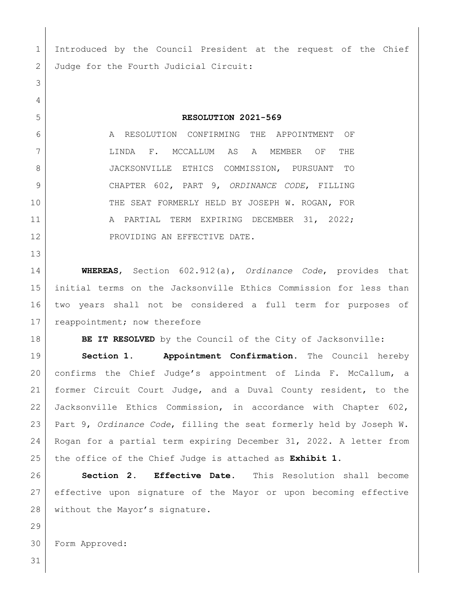Introduced by the Council President at the request of the Chief 2 Judge for the Fourth Judicial Circuit: **RESOLUTION 2021-569** A RESOLUTION CONFIRMING THE APPOINTMENT OF LINDA F. MCCALLUM AS A MEMBER OF THE JACKSONVILLE ETHICS COMMISSION, PURSUANT TO CHAPTER 602, PART 9, *ORDINANCE CODE*, FILLING 10 THE SEAT FORMERLY HELD BY JOSEPH W. ROGAN, FOR 11 | A PARTIAL TERM EXPIRING DECEMBER 31, 2022; 12 PROVIDING AN EFFECTIVE DATE. **WHEREAS**, Section 602.912(a), *Ordinance Code*, provides that initial terms on the Jacksonville Ethics Commission for less than two years shall not be considered a full term for purposes of 17 reappointment; now therefore **BE IT RESOLVED** by the Council of the City of Jacksonville: **Section 1. Appointment Confirmation.** The Council hereby confirms the Chief Judge's appointment of Linda F. McCallum, a former Circuit Court Judge, and a Duval County resident, to the Jacksonville Ethics Commission, in accordance with Chapter 602, Part 9, *Ordinance Code*, filling the seat formerly held by Joseph W. Rogan for a partial term expiring December 31, 2022. A letter from the office of the Chief Judge is attached as **Exhibit 1**. **Section 2. Effective Date.** This Resolution shall become effective upon signature of the Mayor or upon becoming effective 28 without the Mayor's signature.

Form Approved: